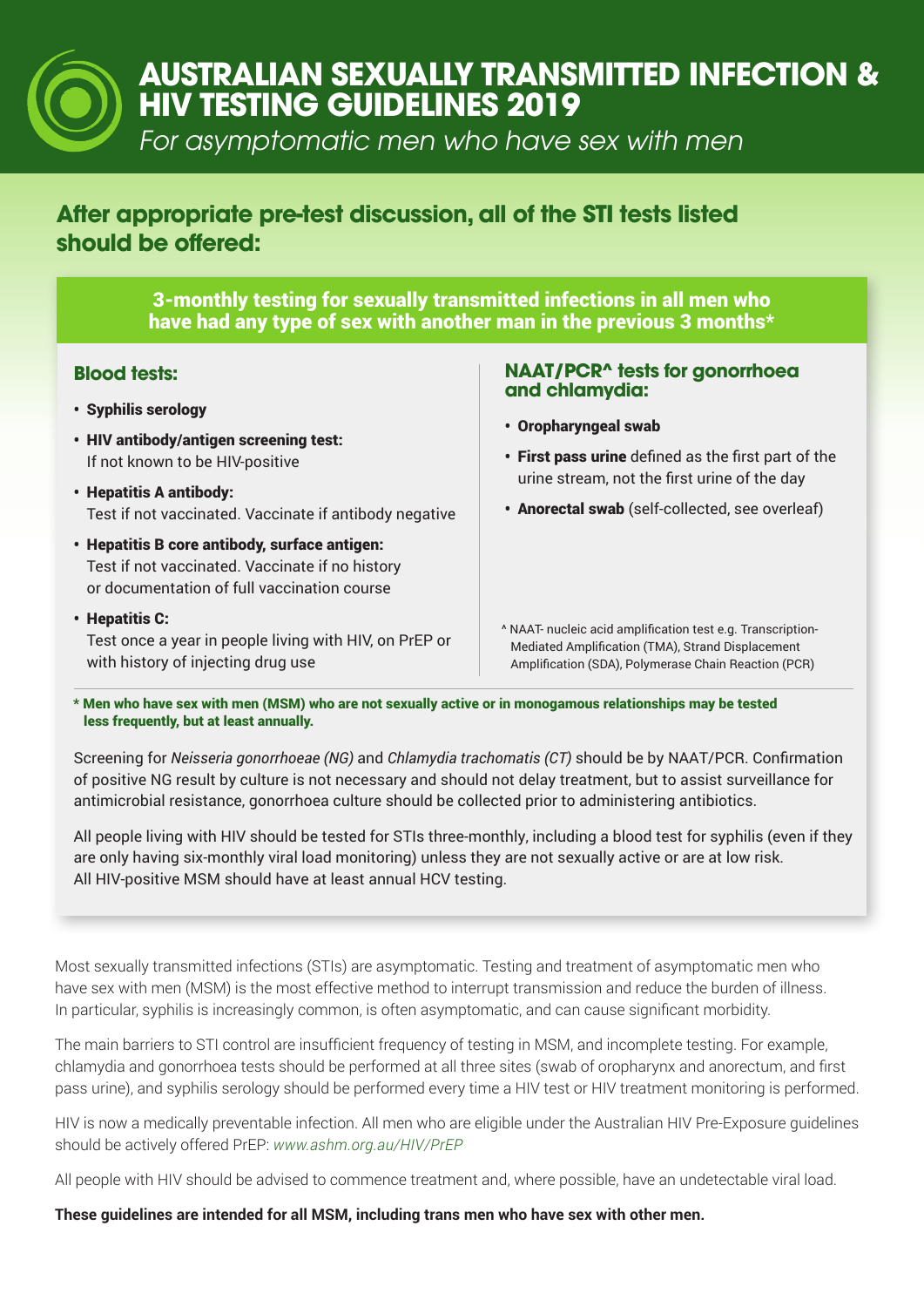# **AUSTRALIAN SEXUALLY TRANSMITTED INFECTION & HIV TESTING GUIDELINES 2019**

For asymptomatic men who have sex with men

## **After appropriate pre-test discussion, all of the STI tests listed should be offered:**

3-monthly testing for sexually transmitted infections in all men who have had any type of sex with another man in the previous 3 months\*

### **Blood tests:**

- Syphilis serology
- HIV antibody/antigen screening test: If not known to be HIV-positive
- Hepatitis A antibody: Test if not vaccinated. Vaccinate if antibody negative
- Hepatitis B core antibody, surface antigen: Test if not vaccinated. Vaccinate if no history or documentation of full vaccination course
- Hepatitis C: Test once a year in people living with HIV, on PrEP or with history of injecting drug use

#### **NAAT/PCR^ tests for gonorrhoea and chlamydia:**

- Oropharyngeal swab
- First pass urine defined as the first part of the urine stream, not the first urine of the day
- Anorectal swab (self-collected, see overleaf)

^ NAAT- nucleic acid amplification test e.g. Transcription- Mediated Amplification (TMA), Strand Displacement Amplification (SDA), Polymerase Chain Reaction (PCR)

\* Men who have sex with men (MSM) who are not sexually active or in monogamous relationships may be tested less frequently, but at least annually.

Screening for *Neisseria gonorrhoeae (NG)* and *Chlamydia trachomatis (CT)* should be by NAAT/PCR. Confirmation of positive NG result by culture is not necessary and should not delay treatment, but to assist surveillance for antimicrobial resistance, gonorrhoea culture should be collected prior to administering antibiotics.

All people living with HIV should be tested for STIs three-monthly, including a blood test for syphilis (even if they are only having six-monthly viral load monitoring) unless they are not sexually active or are at low risk. All HIV-positive MSM should have at least annual HCV testing.

Most sexually transmitted infections (STIs) are asymptomatic. Testing and treatment of asymptomatic men who have sex with men (MSM) is the most effective method to interrupt transmission and reduce the burden of illness. In particular, syphilis is increasingly common, is often asymptomatic, and can cause significant morbidity.

The main barriers to STI control are insufficient frequency of testing in MSM, and incomplete testing. For example, chlamydia and gonorrhoea tests should be performed at all three sites (swab of oropharynx and anorectum, and first pass urine), and syphilis serology should be performed every time a HIV test or HIV treatment monitoring is performed.

HIV is now a medically preventable infection. All men who are eligible under the Australian HIV Pre-Exposure guidelines should be actively offered PrEP: *www.ashm.org.au/HIV/PrEP*

All people with HIV should be advised to commence treatment and, where possible, have an undetectable viral load.

**These guidelines are intended for all MSM, including trans men who have sex with other men.**